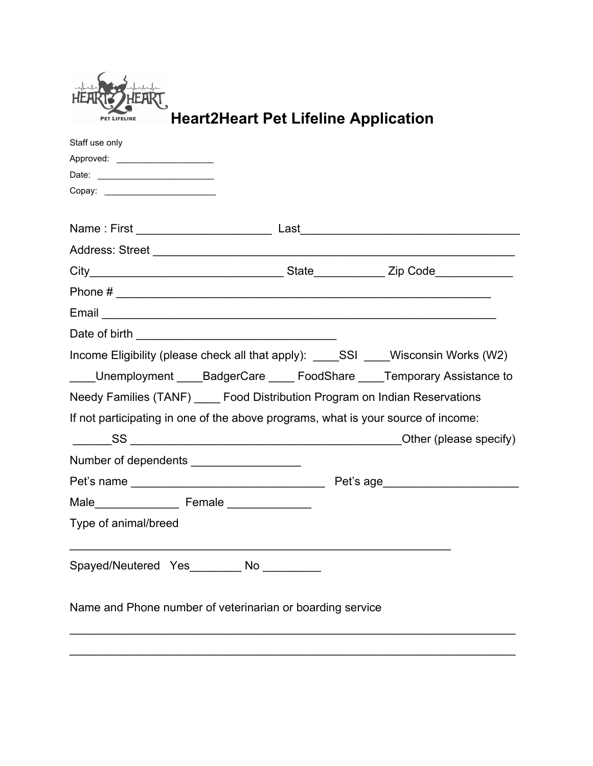| <b>PET LIFELINE</b> |
|---------------------|
|---------------------|

**Heart2Heart Pet Lifeline Application**

| Staff use only                                                                                                                                                                                                                                                                                                        |  |
|-----------------------------------------------------------------------------------------------------------------------------------------------------------------------------------------------------------------------------------------------------------------------------------------------------------------------|--|
| Approved: _____________________                                                                                                                                                                                                                                                                                       |  |
|                                                                                                                                                                                                                                                                                                                       |  |
|                                                                                                                                                                                                                                                                                                                       |  |
|                                                                                                                                                                                                                                                                                                                       |  |
|                                                                                                                                                                                                                                                                                                                       |  |
|                                                                                                                                                                                                                                                                                                                       |  |
|                                                                                                                                                                                                                                                                                                                       |  |
| Phone # $\frac{1}{2}$ $\frac{1}{2}$ $\frac{1}{2}$ $\frac{1}{2}$ $\frac{1}{2}$ $\frac{1}{2}$ $\frac{1}{2}$ $\frac{1}{2}$ $\frac{1}{2}$ $\frac{1}{2}$ $\frac{1}{2}$ $\frac{1}{2}$ $\frac{1}{2}$ $\frac{1}{2}$ $\frac{1}{2}$ $\frac{1}{2}$ $\frac{1}{2}$ $\frac{1}{2}$ $\frac{1}{2}$ $\frac{1}{2}$ $\frac{1}{2}$ $\frac$ |  |
| Email <u>Communication</u>                                                                                                                                                                                                                                                                                            |  |
|                                                                                                                                                                                                                                                                                                                       |  |
| Income Eligibility (please check all that apply): _____SSI _____Wisconsin Works (W2)                                                                                                                                                                                                                                  |  |
| Unemployment BadgerCare FoodShare Temporary Assistance to                                                                                                                                                                                                                                                             |  |
| Needy Families (TANF) _____ Food Distribution Program on Indian Reservations                                                                                                                                                                                                                                          |  |
| If not participating in one of the above programs, what is your source of income:                                                                                                                                                                                                                                     |  |
|                                                                                                                                                                                                                                                                                                                       |  |
| Number of dependents ______________________                                                                                                                                                                                                                                                                           |  |
|                                                                                                                                                                                                                                                                                                                       |  |
|                                                                                                                                                                                                                                                                                                                       |  |
| Type of animal/breed                                                                                                                                                                                                                                                                                                  |  |
| Spayed/Neutered Yes No                                                                                                                                                                                                                                                                                                |  |
| Name and Phone number of veterinarian or boarding service                                                                                                                                                                                                                                                             |  |

\_\_\_\_\_\_\_\_\_\_\_\_\_\_\_\_\_\_\_\_\_\_\_\_\_\_\_\_\_\_\_\_\_\_\_\_\_\_\_\_\_\_\_\_\_\_\_\_\_\_\_\_\_\_\_\_\_\_\_\_\_\_\_\_\_\_\_\_\_

 $\mathcal{L}_\text{max}$  and  $\mathcal{L}_\text{max}$  and  $\mathcal{L}_\text{max}$  and  $\mathcal{L}_\text{max}$  and  $\mathcal{L}_\text{max}$  and  $\mathcal{L}_\text{max}$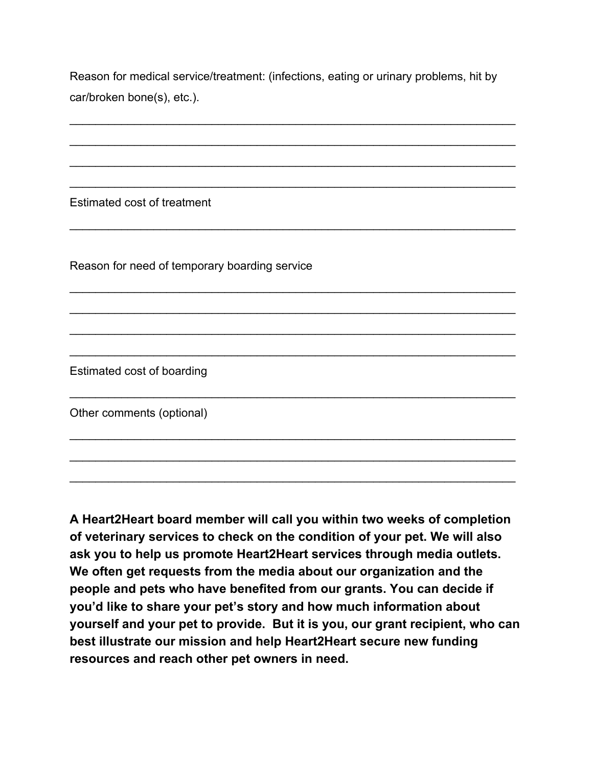Reason for medical service/treatment: (infections, eating or urinary problems, hit by car/broken bone(s), etc.).

\_\_\_\_\_\_\_\_\_\_\_\_\_\_\_\_\_\_\_\_\_\_\_\_\_\_\_\_\_\_\_\_\_\_\_\_\_\_\_\_\_\_\_\_\_\_\_\_\_\_\_\_\_\_\_\_\_\_\_\_\_\_\_\_\_\_\_\_\_

\_\_\_\_\_\_\_\_\_\_\_\_\_\_\_\_\_\_\_\_\_\_\_\_\_\_\_\_\_\_\_\_\_\_\_\_\_\_\_\_\_\_\_\_\_\_\_\_\_\_\_\_\_\_\_\_\_\_\_\_\_\_\_\_\_\_\_\_\_

\_\_\_\_\_\_\_\_\_\_\_\_\_\_\_\_\_\_\_\_\_\_\_\_\_\_\_\_\_\_\_\_\_\_\_\_\_\_\_\_\_\_\_\_\_\_\_\_\_\_\_\_\_\_\_\_\_\_\_\_\_\_\_\_\_\_\_\_\_

\_\_\_\_\_\_\_\_\_\_\_\_\_\_\_\_\_\_\_\_\_\_\_\_\_\_\_\_\_\_\_\_\_\_\_\_\_\_\_\_\_\_\_\_\_\_\_\_\_\_\_\_\_\_\_\_\_\_\_\_\_\_\_\_\_\_\_\_\_

\_\_\_\_\_\_\_\_\_\_\_\_\_\_\_\_\_\_\_\_\_\_\_\_\_\_\_\_\_\_\_\_\_\_\_\_\_\_\_\_\_\_\_\_\_\_\_\_\_\_\_\_\_\_\_\_\_\_\_\_\_\_\_\_\_\_\_\_\_

\_\_\_\_\_\_\_\_\_\_\_\_\_\_\_\_\_\_\_\_\_\_\_\_\_\_\_\_\_\_\_\_\_\_\_\_\_\_\_\_\_\_\_\_\_\_\_\_\_\_\_\_\_\_\_\_\_\_\_\_\_\_\_\_\_\_\_\_\_

\_\_\_\_\_\_\_\_\_\_\_\_\_\_\_\_\_\_\_\_\_\_\_\_\_\_\_\_\_\_\_\_\_\_\_\_\_\_\_\_\_\_\_\_\_\_\_\_\_\_\_\_\_\_\_\_\_\_\_\_\_\_\_\_\_\_\_\_\_

\_\_\_\_\_\_\_\_\_\_\_\_\_\_\_\_\_\_\_\_\_\_\_\_\_\_\_\_\_\_\_\_\_\_\_\_\_\_\_\_\_\_\_\_\_\_\_\_\_\_\_\_\_\_\_\_\_\_\_\_\_\_\_\_\_\_\_\_\_

\_\_\_\_\_\_\_\_\_\_\_\_\_\_\_\_\_\_\_\_\_\_\_\_\_\_\_\_\_\_\_\_\_\_\_\_\_\_\_\_\_\_\_\_\_\_\_\_\_\_\_\_\_\_\_\_\_\_\_\_\_\_\_\_\_\_\_\_\_

\_\_\_\_\_\_\_\_\_\_\_\_\_\_\_\_\_\_\_\_\_\_\_\_\_\_\_\_\_\_\_\_\_\_\_\_\_\_\_\_\_\_\_\_\_\_\_\_\_\_\_\_\_\_\_\_\_\_\_\_\_\_\_\_\_\_\_\_\_

\_\_\_\_\_\_\_\_\_\_\_\_\_\_\_\_\_\_\_\_\_\_\_\_\_\_\_\_\_\_\_\_\_\_\_\_\_\_\_\_\_\_\_\_\_\_\_\_\_\_\_\_\_\_\_\_\_\_\_\_\_\_\_\_\_\_\_\_\_

\_\_\_\_\_\_\_\_\_\_\_\_\_\_\_\_\_\_\_\_\_\_\_\_\_\_\_\_\_\_\_\_\_\_\_\_\_\_\_\_\_\_\_\_\_\_\_\_\_\_\_\_\_\_\_\_\_\_\_\_\_\_\_\_\_\_\_\_\_

\_\_\_\_\_\_\_\_\_\_\_\_\_\_\_\_\_\_\_\_\_\_\_\_\_\_\_\_\_\_\_\_\_\_\_\_\_\_\_\_\_\_\_\_\_\_\_\_\_\_\_\_\_\_\_\_\_\_\_\_\_\_\_\_\_\_\_\_\_

Estimated cost of treatment

Reason for need of temporary boarding service

Estimated cost of boarding

Other comments (optional)

**A Heart2Heart board member will call you within two weeks of completion of veterinary services to check on the condition of your pet. We will also ask you to help us promote Heart2Heart services through media outlets. We often get requests from the media about our organization and the people and pets who have benefited from our grants. You can decide if you'd like to share your pet's story and how much information about yourself and your pet to provide. But it is you, our grant recipient, who can best illustrate our mission and help Heart2Heart secure new funding resources and reach other pet owners in need.**